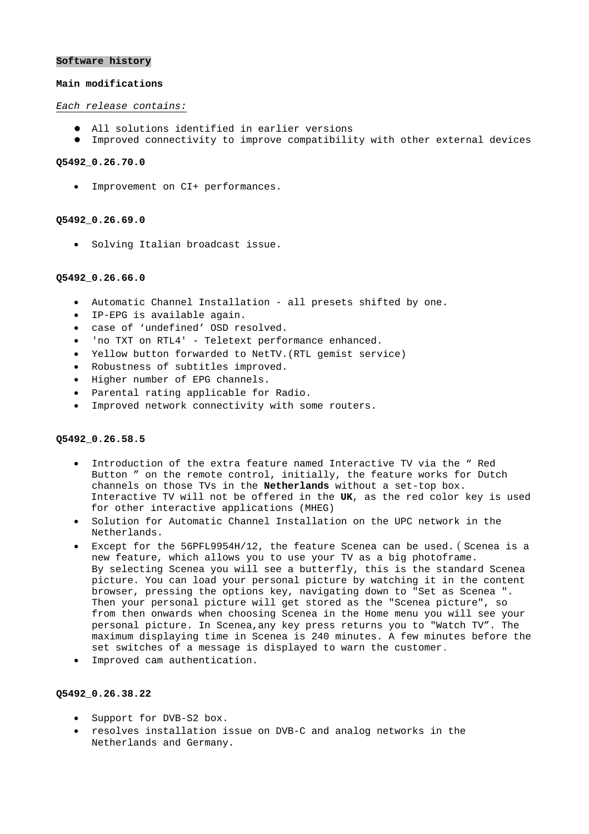#### **Software history**

#### **Main modifications**

# *Each release contains:*

- $\bullet$  All solutions identified in earlier versions
- $\bullet$  Improved connectivity to improve compatibility with other external devices

# **Q5492\_0.26.70.0**

• Improvement on CI+ performances.

#### **Q5492\_0.26.69.0**

• Solving Italian broadcast issue.

# **Q5492\_0.26.66.0**

- Automatic Channel Installation all presets shifted by one.
- IP-EPG is available again.
- case of 'undefined' OSD resolved.
- 'no TXT on RTL4' Teletext performance enhanced.
- Yellow button forwarded to NetTV. (RTL gemist service)
- Robustness of subtitles improved.
- Higher number of EPG channels.
- Parental rating applicable for Radio.
- Improved network connectivity with some routers.

# **Q5492\_0.26.58.5**

- Introduction of the extra feature named Interactive TV via the " Red Button " on the remote control, initially, the feature works for Dutch channels on those TVs in the **Netherlands** without a set-top box. Interactive TV will not be offered in the **UK**, as the red color key is used for other interactive applications (MHEG)
- Solution for Automatic Channel Installation on the UPC network in the Netherlands.
- Except for the 56PFL9954H/12, the feature Scenea can be used. ( Scenea is a new feature, which allows you to use your TV as a big photoframe. By selecting Scenea you will see a butterfly, this is the standard Scenea picture. You can load your personal picture by watching it in the content browser, pressing the options key, navigating down to "Set as Scenea ". Then your personal picture will get stored as the "Scenea picture", so from then onwards when choosing Scenea in the Home menu you will see your personal picture. In Scenea,any key press returns you to "Watch TV". The maximum displaying time in Scenea is 240 minutes. A few minutes before the set switches of a message is displayed to warn the customer.
- Improved cam authentication.

# **Q5492\_0.26.38.22**

- Support for DVB-S2 box.
- resolves installation issue on DVB-C and analog networks in the Netherlands and Germany.